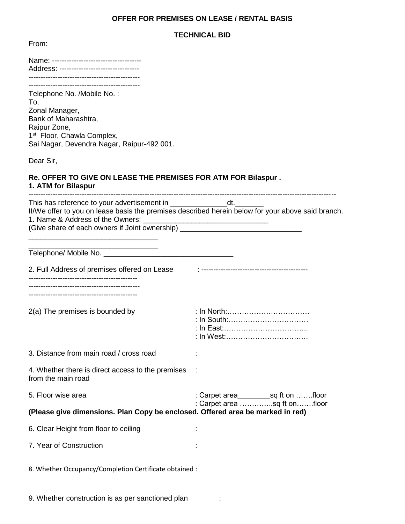## **OFFER FOR PREMISES ON LEASE / RENTAL BASIS**

## **TECHNICAL BID**

From:

| Address: --------------------------------                                                                                                                                                                                                                                                               |                                                                       |
|---------------------------------------------------------------------------------------------------------------------------------------------------------------------------------------------------------------------------------------------------------------------------------------------------------|-----------------------------------------------------------------------|
| Telephone No. /Mobile No.:<br>To,<br>Zonal Manager,<br>Bank of Maharashtra,<br>Raipur Zone,<br>1 <sup>st</sup> Floor, Chawla Complex,<br>Sai Nagar, Devendra Nagar, Raipur-492 001.                                                                                                                     |                                                                       |
| Dear Sir,                                                                                                                                                                                                                                                                                               |                                                                       |
| Re. OFFER TO GIVE ON LEASE THE PREMISES FOR ATM FOR Bilaspur.<br>1. ATM for Bilaspur                                                                                                                                                                                                                    |                                                                       |
| This has reference to your advertisement in _____________________dt.<br>II/We offer to you on lease basis the premises described herein below for your above said branch.<br>1. Name & Address of the Owners: _____<br>(Give share of each owners if Joint ownership) _________________________________ |                                                                       |
|                                                                                                                                                                                                                                                                                                         |                                                                       |
| 2. Full Address of premises offered on Lease                                                                                                                                                                                                                                                            |                                                                       |
| ----------------------------------                                                                                                                                                                                                                                                                      |                                                                       |
| 2(a) The premises is bounded by                                                                                                                                                                                                                                                                         | : In North:<br>: In South:<br>: In West:                              |
| 3. Distance from main road / cross road                                                                                                                                                                                                                                                                 |                                                                       |
| 4. Whether there is direct access to the premises<br>from the main road                                                                                                                                                                                                                                 |                                                                       |
| 5. Floor wise area                                                                                                                                                                                                                                                                                      | : Carpet area___________sq ft on floor<br>: Carpet area sq ft onfloor |
| (Please give dimensions. Plan Copy be enclosed. Offered area be marked in red)                                                                                                                                                                                                                          |                                                                       |
| 6. Clear Height from floor to ceiling                                                                                                                                                                                                                                                                   |                                                                       |
| 7. Year of Construction                                                                                                                                                                                                                                                                                 |                                                                       |
| 8. Whether Occupancy/Completion Certificate obtained :                                                                                                                                                                                                                                                  |                                                                       |

9. Whether construction is as per sanctioned plan :